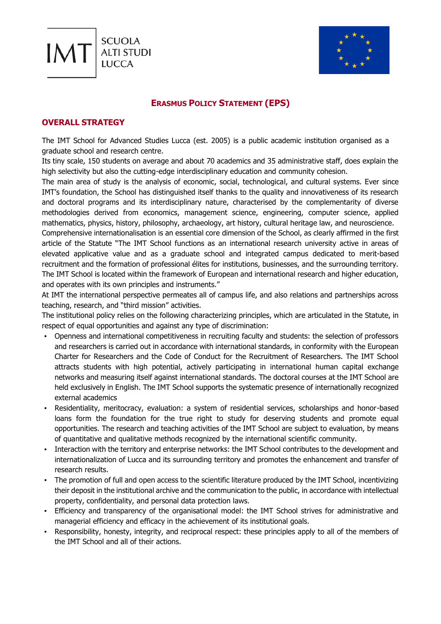



## **ERASMUS POLICY STATEMENT (EPS)**

## **OVERALL STRATEGY**

The IMT School for Advanced Studies Lucca (est. 2005) is a public academic institution organised as a graduate school and research centre.

Its tiny scale, 150 students on average and about 70 academics and 35 administrative staff, does explain the high selectivity but also the cutting-edge interdisciplinary education and community cohesion.

The main area of study is the analysis of economic, social, technological, and cultural systems. Ever since IMT's foundation, the School has distinguished itself thanks to the quality and innovativeness of its research and doctoral programs and its interdisciplinary nature, characterised by the complementarity of diverse methodologies derived from economics, management science, engineering, computer science, applied mathematics, physics, history, philosophy, archaeology, art history, cultural heritage law, and neuroscience.

Comprehensive internationalisation is an essential core dimension of the School, as clearly affirmed in the first article of the Statute "The IMT School functions as an international research university active in areas of elevated applicative value and as a graduate school and integrated campus dedicated to merit-based recruitment and the formation of professional élites for institutions, businesses, and the surrounding territory. The IMT School is located within the framework of European and international research and higher education, and operates with its own principles and instruments."

At IMT the international perspective permeates all of campus life, and also relations and partnerships across teaching, research, and "third mission" activities.

The institutional policy relies on the following characterizing principles, which are articulated in the Statute, in respect of equal opportunities and against any type of discrimination:

- Openness and international competitiveness in recruiting faculty and students: the selection of professors and researchers is carried out in accordance with international standards, in conformity with the European Charter for Researchers and the Code of Conduct for the Recruitment of Researchers. The IMT School attracts students with high potential, actively participating in international human capital exchange networks and measuring itself against international standards. The doctoral courses at the IMT School are held exclusively in English. The IMT School supports the systematic presence of internationally recognized external academics
- Residentiality, meritocracy, evaluation: a system of residential services, scholarships and honor-based loans form the foundation for the true right to study for deserving students and promote equal opportunities. The research and teaching activities of the IMT School are subject to evaluation, by means of quantitative and qualitative methods recognized by the international scientific community.
- Interaction with the territory and enterprise networks: the IMT School contributes to the development and internationalization of Lucca and its surrounding territory and promotes the enhancement and transfer of research results.
- The promotion of full and open access to the scientific literature produced by the IMT School, incentivizing their deposit in the institutional archive and the communication to the public, in accordance with intellectual property, confidentiality, and personal data protection laws.
- Efficiency and transparency of the organisational model: the IMT School strives for administrative and managerial efficiency and efficacy in the achievement of its institutional goals.
- Responsibility, honesty, integrity, and reciprocal respect: these principles apply to all of the members of the IMT School and all of their actions.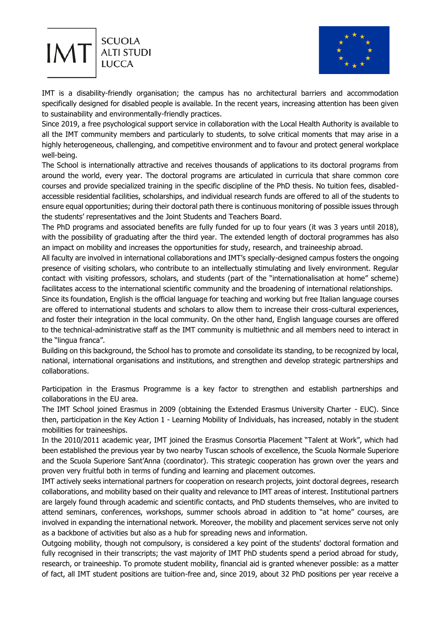



IMT is a disability-friendly organisation; the campus has no architectural barriers and accommodation specifically designed for disabled people is available. In the recent years, increasing attention has been given to sustainability and environmentally-friendly practices.

Since 2019, a free psychological support service in collaboration with the Local Health Authority is available to all the IMT community members and particularly to students, to solve critical moments that may arise in a highly heterogeneous, challenging, and competitive environment and to favour and protect general workplace well-being.

The School is internationally attractive and receives thousands of applications to its doctoral programs from around the world, every year. The doctoral programs are articulated in curricula that share common core courses and provide specialized training in the specific discipline of the PhD thesis. No tuition fees, disabledaccessible residential facilities, scholarships, and individual research funds are offered to all of the students to ensure equal opportunities; during their doctoral path there is continuous monitoring of possible issues through the students' representatives and the Joint Students and Teachers Board.

The PhD programs and associated benefits are fully funded for up to four years (it was 3 years until 2018), with the possibility of graduating after the third year. The extended length of doctoral programmes has also an impact on mobility and increases the opportunities for study, research, and traineeship abroad.

All faculty are involved in international collaborations and IMT's specially-designed campus fosters the ongoing presence of visiting scholars, who contribute to an intellectually stimulating and lively environment. Regular contact with visiting professors, scholars, and students (part of the "internationalisation at home" scheme) facilitates access to the international scientific community and the broadening of international relationships.

Since its foundation, English is the official language for teaching and working but free Italian language courses are offered to international students and scholars to allow them to increase their cross-cultural experiences, and foster their integration in the local community. On the other hand, English language courses are offered to the technical-administrative staff as the IMT community is multiethnic and all members need to interact in the "lingua franca".

Building on this background, the School has to promote and consolidate its standing, to be recognized by local, national, international organisations and institutions, and strengthen and develop strategic partnerships and collaborations.

Participation in the Erasmus Programme is a key factor to strengthen and establish partnerships and collaborations in the EU area.

The IMT School joined Erasmus in 2009 (obtaining the Extended Erasmus University Charter - EUC). Since then, participation in the Key Action 1 - Learning Mobility of Individuals, has increased, notably in the student mobilities for traineeships.

In the 2010/2011 academic year, IMT joined the Erasmus Consortia Placement "Talent at Work", which had been established the previous year by two nearby Tuscan schools of excellence, the Scuola Normale Superiore and the Scuola Superiore Sant'Anna (coordinator). This strategic cooperation has grown over the years and proven very fruitful both in terms of funding and learning and placement outcomes.

IMT actively seeks international partners for cooperation on research projects, joint doctoral degrees, research collaborations, and mobility based on their quality and relevance to IMT areas of interest. Institutional partners are largely found through academic and scientific contacts, and PhD students themselves, who are invited to attend seminars, conferences, workshops, summer schools abroad in addition to "at home" courses, are involved in expanding the international network. Moreover, the mobility and placement services serve not only as a backbone of activities but also as a hub for spreading news and information.

Outgoing mobility, though not compulsory, is considered a key point of the students' doctoral formation and fully recognised in their transcripts; the vast majority of IMT PhD students spend a period abroad for study, research, or traineeship. To promote student mobility, financial aid is granted whenever possible: as a matter of fact, all IMT student positions are tuition-free and, since 2019, about 32 PhD positions per year receive a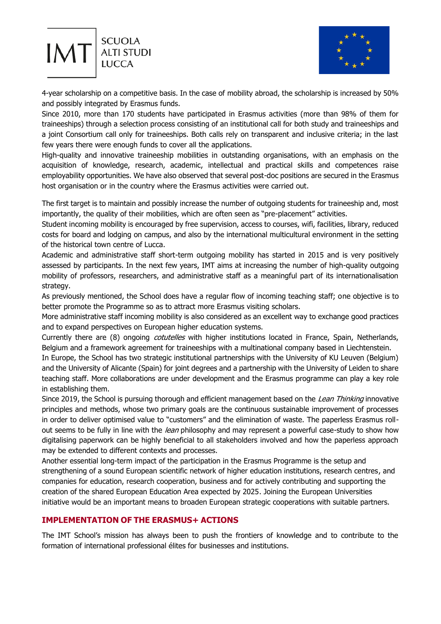



4-year scholarship on a competitive basis. In the case of mobility abroad, the scholarship is increased by 50% and possibly integrated by Erasmus funds.

Since 2010, more than 170 students have participated in Erasmus activities (more than 98% of them for traineeships) through a selection process consisting of an institutional call for both study and traineeships and a joint Consortium call only for traineeships. Both calls rely on transparent and inclusive criteria; in the last few years there were enough funds to cover all the applications.

High-quality and innovative traineeship mobilities in outstanding organisations, with an emphasis on the acquisition of knowledge, research, academic, intellectual and practical skills and competences raise employability opportunities. We have also observed that several post-doc positions are secured in the Erasmus host organisation or in the country where the Erasmus activities were carried out.

The first target is to maintain and possibly increase the number of outgoing students for traineeship and, most importantly, the quality of their mobilities, which are often seen as "pre-placement" activities.

Student incoming mobility is encouraged by free supervision, access to courses, wifi, facilities, library, reduced costs for board and lodging on campus, and also by the international multicultural environment in the setting of the historical town centre of Lucca.

Academic and administrative staff short-term outgoing mobility has started in 2015 and is very positively assessed by participants. In the next few years, IMT aims at increasing the number of high-quality outgoing mobility of professors, researchers, and administrative staff as a meaningful part of its internationalisation strategy.

As previously mentioned, the School does have a regular flow of incoming teaching staff; one objective is to better promote the Programme so as to attract more Erasmus visiting scholars.

More administrative staff incoming mobility is also considered as an excellent way to exchange good practices and to expand perspectives on European higher education systems.

Currently there are (8) ongoing *cotutelles* with higher institutions located in France, Spain, Netherlands, Belgium and a framework agreement for traineeships with a multinational company based in Liechtenstein.

In Europe, the School has two strategic institutional partnerships with the University of KU Leuven (Belgium) and the University of Alicante (Spain) for joint degrees and a partnership with the University of Leiden to share teaching staff. More collaborations are under development and the Erasmus programme can play a key role in establishing them.

Since 2019, the School is pursuing thorough and efficient management based on the Lean Thinking innovative principles and methods, whose two primary goals are the continuous sustainable improvement of processes in order to deliver optimised value to "customers" and the elimination of waste. The paperless Erasmus rollout seems to be fully in line with the lean philosophy and may represent a powerful case-study to show how digitalising paperwork can be highly beneficial to all stakeholders involved and how the paperless approach may be extended to different contexts and processes.

Another essential long-term impact of the participation in the Erasmus Programme is the setup and strengthening of a sound European scientific network of higher education institutions, research centres, and companies for education, research cooperation, business and for actively contributing and supporting the creation of the shared European Education Area expected by 2025. Joining the European Universities initiative would be an important means to broaden European strategic cooperations with suitable partners.

## **IMPLEMENTATION OF THE ERASMUS+ ACTIONS**

The IMT School's mission has always been to push the frontiers of knowledge and to contribute to the formation of international professional élites for businesses and institutions.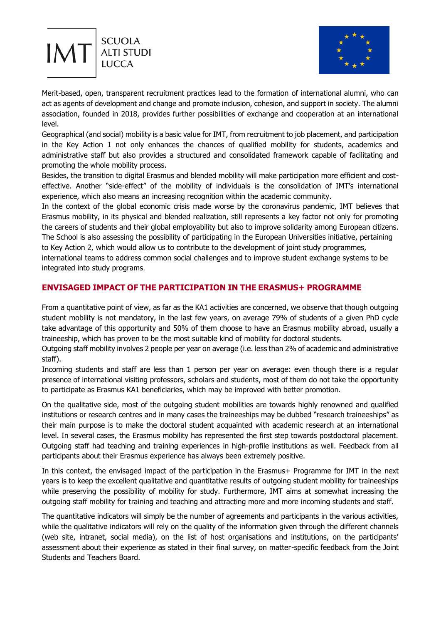



Merit-based, open, transparent recruitment practices lead to the formation of international alumni, who can act as agents of development and change and promote inclusion, cohesion, and support in society. The alumni association, founded in 2018, provides further possibilities of exchange and cooperation at an international level.

Geographical (and social) mobility is a basic value for IMT, from recruitment to job placement, and participation in the Key Action 1 not only enhances the chances of qualified mobility for students, academics and administrative staff but also provides a structured and consolidated framework capable of facilitating and promoting the whole mobility process.

Besides, the transition to digital Erasmus and blended mobility will make participation more efficient and costeffective. Another "side-effect" of the mobility of individuals is the consolidation of IMT's international experience, which also means an increasing recognition within the academic community.

In the context of the global economic crisis made worse by the coronavirus pandemic, IMT believes that Erasmus mobility, in its physical and blended realization, still represents a key factor not only for promoting the careers of students and their global employability but also to improve solidarity among European citizens. The School is also assessing the possibility of participating in the European Universities initiative, pertaining to Key Action 2, which would allow us to contribute to the development of joint study programmes,

international teams to address common social challenges and to improve student exchange systems to be integrated into study programs.

## **ENVISAGED IMPACT OF THE PARTICIPATION IN THE ERASMUS+ PROGRAMME**

From a quantitative point of view, as far as the KA1 activities are concerned, we observe that though outgoing student mobility is not mandatory, in the last few years, on average 79% of students of a given PhD cycle take advantage of this opportunity and 50% of them choose to have an Erasmus mobility abroad, usually a traineeship, which has proven to be the most suitable kind of mobility for doctoral students.

Outgoing staff mobility involves 2 people per year on average (i.e. less than 2% of academic and administrative staff).

Incoming students and staff are less than 1 person per year on average: even though there is a regular presence of international visiting professors, scholars and students, most of them do not take the opportunity to participate as Erasmus KA1 beneficiaries, which may be improved with better promotion.

On the qualitative side, most of the outgoing student mobilities are towards highly renowned and qualified institutions or research centres and in many cases the traineeships may be dubbed "research traineeships" as their main purpose is to make the doctoral student acquainted with academic research at an international level. In several cases, the Erasmus mobility has represented the first step towards postdoctoral placement. Outgoing staff had teaching and training experiences in high-profile institutions as well. Feedback from all participants about their Erasmus experience has always been extremely positive.

In this context, the envisaged impact of the participation in the Erasmus+ Programme for IMT in the next years is to keep the excellent qualitative and quantitative results of outgoing student mobility for traineeships while preserving the possibility of mobility for study. Furthermore, IMT aims at somewhat increasing the outgoing staff mobility for training and teaching and attracting more and more incoming students and staff.

The quantitative indicators will simply be the number of agreements and participants in the various activities, while the qualitative indicators will rely on the quality of the information given through the different channels (web site, intranet, social media), on the list of host organisations and institutions, on the participants' assessment about their experience as stated in their final survey, on matter-specific feedback from the Joint Students and Teachers Board.